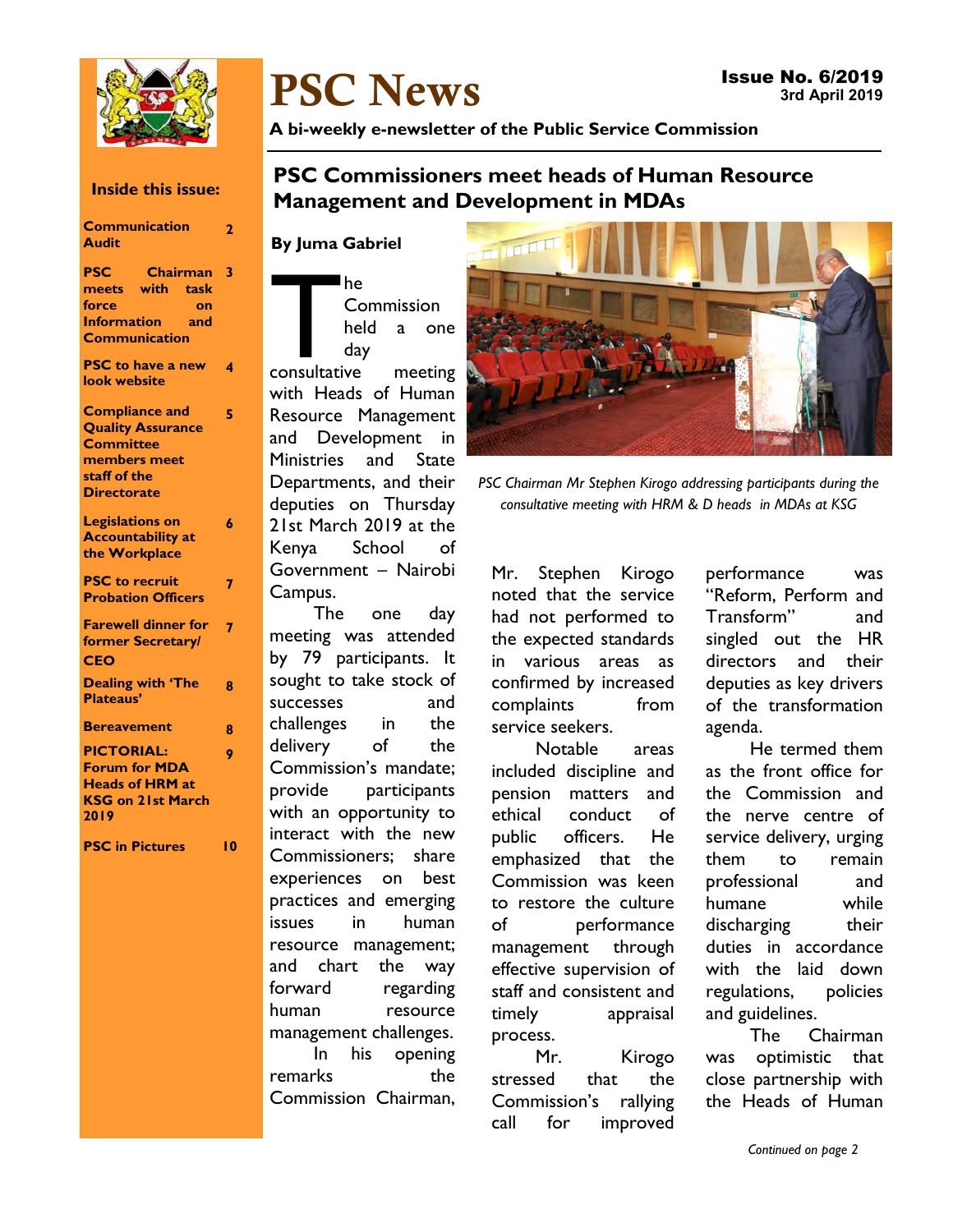

# **PSC News**

**A bi-weekly e-newsletter of the Public Service Commission** 

### **Inside this issue:**

#### **Communication Audit 2 PSC Chairman 3 meets with task force on Information and Communication PSC to have a new look website 4 Compliance and Quality Assurance Committee members meet staff of the Directorate 5 Legislations on Accountability at the Workplace 6 PSC to recruit Probation Officers 7 Farewell dinner for former Secretary/ CEO 7 Dealing with 'The Plateaus' 8 Bereavement 8 PICTORIAL: Forum for MDA Heads of HRM at KSG on 21st March 2019 9 PSC in Pictures 10**

### **PSC Commissioners meet heads of Human Resource Management and Development in MDAs**

### **By Juma Gabriel**

The<br>
Commission<br>
held a one<br>
day<br>
consultative meeting Commission held a one day

with Heads of Human Resource Management and Development in Ministries and State Departments, and their deputies on Thursday 21st March 2019 at the Kenya School of Government – Nairobi Campus.

The one day meeting was attended by 79 participants. It sought to take stock of successes and challenges in the delivery of the Commission's mandate; provide participants with an opportunity to interact with the new Commissioners; share experiences on best practices and emerging issues in human resource management; and chart the way forward regarding human resource management challenges. In his opening remarks the Commission Chairman,



*PSC Chairman Mr Stephen Kirogo addressing participants during the consultative meeting with HRM & D heads in MDAs at KSG* 

Mr. Stephen Kirogo noted that the service had not performed to the expected standards in various areas as confirmed by increased complaints from service seekers.

Notable areas included discipline and pension matters and ethical conduct of public officers. He emphasized that the Commission was keen to restore the culture of performance management through effective supervision of staff and consistent and timely appraisal process.

Mr. Kirogo stressed that the Commission's rallying call for improved performance was "Reform, Perform and Transform" and singled out the HR directors and their deputies as key drivers of the transformation agenda.

He termed them as the front office for the Commission and the nerve centre of service delivery, urging them to remain professional and humane while discharging their duties in accordance with the laid down regulations, policies and guidelines.

The Chairman was optimistic that close partnership with the Heads of Human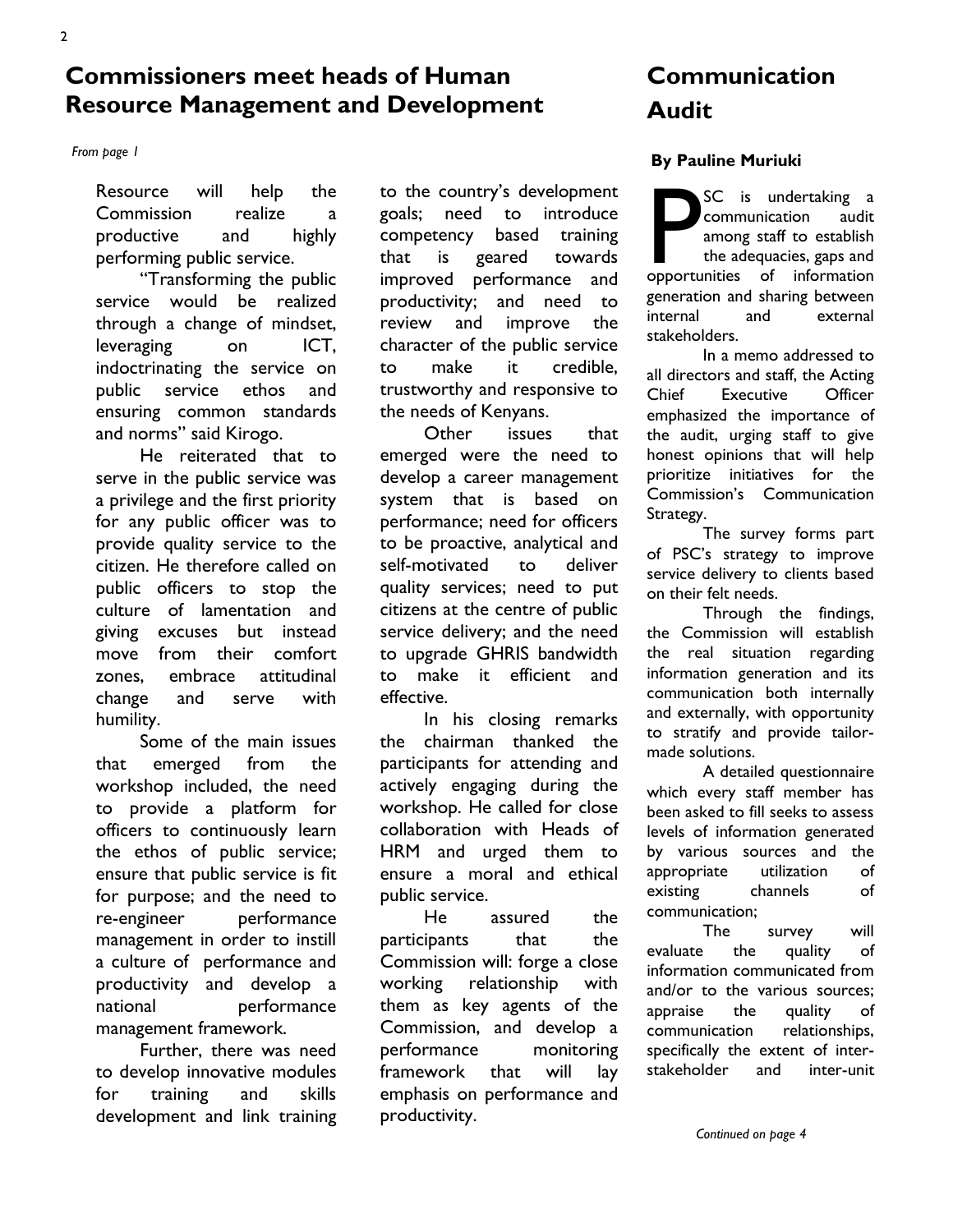### **Commissioners meet heads of Human Resource Management and Development**

#### *From page 1*

Resource will help the Commission realize a productive and highly performing public service.

"Transforming the public service would be realized through a change of mindset, leveraging on ICT, indoctrinating the service on public service ethos and ensuring common standards and norms" said Kirogo.

He reiterated that to serve in the public service was a privilege and the first priority for any public officer was to provide quality service to the citizen. He therefore called on public officers to stop the culture of lamentation and giving excuses but instead move from their comfort zones, embrace attitudinal change and serve with humility.

Some of the main issues that emerged from the workshop included, the need to provide a platform for officers to continuously learn the ethos of public service; ensure that public service is fit for purpose; and the need to re-engineer performance management in order to instill a culture of performance and productivity and develop a national performance management framework.

Further, there was need to develop innovative modules for training and skills development and link training to the country's development goals; need to introduce competency based training that is geared towards improved performance and productivity; and need to review and improve the character of the public service to make it credible, trustworthy and responsive to the needs of Kenyans.

Other issues that emerged were the need to develop a career management system that is based on performance; need for officers to be proactive, analytical and self-motivated to deliver quality services; need to put citizens at the centre of public service delivery; and the need to upgrade GHRIS bandwidth to make it efficient and effective.

In his closing remarks the chairman thanked the participants for attending and actively engaging during the workshop. He called for close collaboration with Heads of HRM and urged them to ensure a moral and ethical public service.

He assured the participants that the Commission will: forge a close working relationship with them as key agents of the Commission, and develop a performance monitoring framework that will lay emphasis on performance and productivity.

## **Communication Audit**

#### **By Pauline Muriuki**

SC is undertaking a<br>
communication audit<br>
among staff to establish<br>
the adequacies, gaps and<br>
opportunities of information communication audit among staff to establish the adequacies, gaps and generation and sharing between internal and external stakeholders.

In a memo addressed to all directors and staff, the Acting Chief Executive Officer emphasized the importance of the audit, urging staff to give honest opinions that will help prioritize initiatives for the Commission's Communication Strategy.

The survey forms part of PSC's strategy to improve service delivery to clients based on their felt needs.

Through the findings, the Commission will establish the real situation regarding information generation and its communication both internally and externally, with opportunity to stratify and provide tailormade solutions.

A detailed questionnaire which every staff member has been asked to fill seeks to assess levels of information generated by various sources and the appropriate utilization of existing channels of communication;

The survey will evaluate the quality of information communicated from and/or to the various sources; appraise the quality of communication relationships, specifically the extent of interstakeholder and inter-unit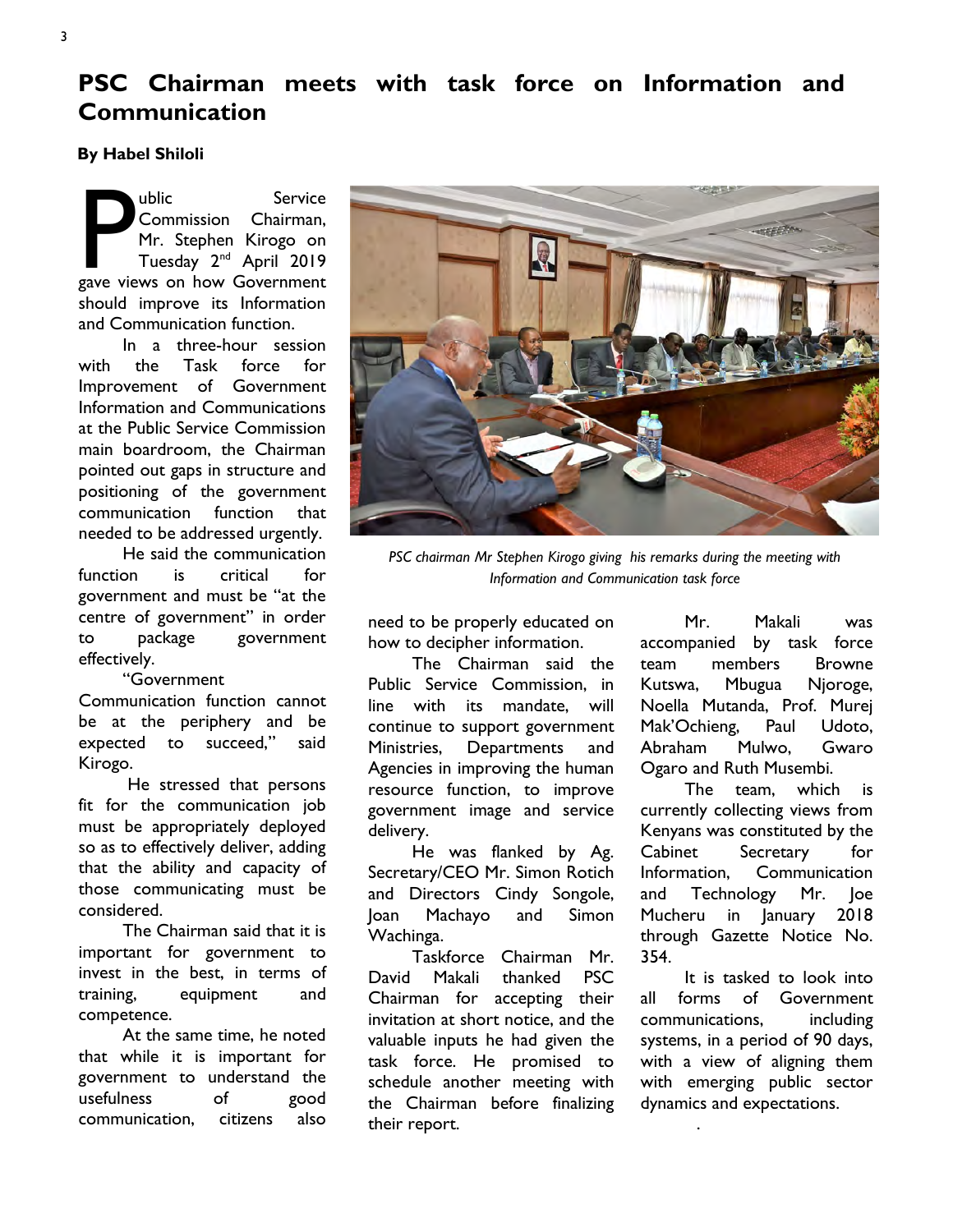### **PSC Chairman meets with task force on Information and Communication**

**By Habel Shiloli** 

Wellic Service<br>
Commission Chairman,<br>
Mr. Stephen Kirogo on<br>
Tuesday 2<sup>nd</sup> April 2019<br>
gave views on how Government Commission Chairman, Mr. Stephen Kirogo on Tuesday 2nd April 2019 should improve its Information and Communication function.

In a three-hour session with the Task force for Improvement of Government Information and Communications at the Public Service Commission main boardroom, the Chairman pointed out gaps in structure and positioning of the government communication function that needed to be addressed urgently.

He said the communication function is critical for government and must be "at the centre of government" in order to package government effectively.

"Government

Communication function cannot be at the periphery and be expected to succeed," said Kirogo.

 He stressed that persons fit for the communication job must be appropriately deployed so as to effectively deliver, adding that the ability and capacity of those communicating must be considered.

The Chairman said that it is important for government to invest in the best, in terms of training, equipment and competence.

At the same time, he noted that while it is important for government to understand the usefulness of good communication, citizens also



*PSC chairman Mr Stephen Kirogo giving his remarks during the meeting with Information and Communication task force* 

need to be properly educated on how to decipher information.

The Chairman said the Public Service Commission, in line with its mandate, will continue to support government Ministries, Departments and Agencies in improving the human resource function, to improve government image and service delivery.

He was flanked by Ag. Secretary/CEO Mr. Simon Rotich and Directors Cindy Songole, Joan Machayo and Simon Wachinga.

Taskforce Chairman Mr. David Makali thanked PSC Chairman for accepting their invitation at short notice, and the valuable inputs he had given the task force. He promised to schedule another meeting with the Chairman before finalizing their report.

Mr. Makali was accompanied by task force team members Browne Kutswa, Mbugua Njoroge, Noella Mutanda, Prof. Murej Mak'Ochieng, Paul Udoto, Abraham Mulwo, Gwaro Ogaro and Ruth Musembi.

The team, which is currently collecting views from Kenyans was constituted by the Cabinet Secretary for Information, Communication and Technology Mr. Joe Mucheru in January 2018 through Gazette Notice No. 354.

It is tasked to look into all forms of Government communications, including systems, in a period of 90 days, with a view of aligning them with emerging public sector dynamics and expectations.

.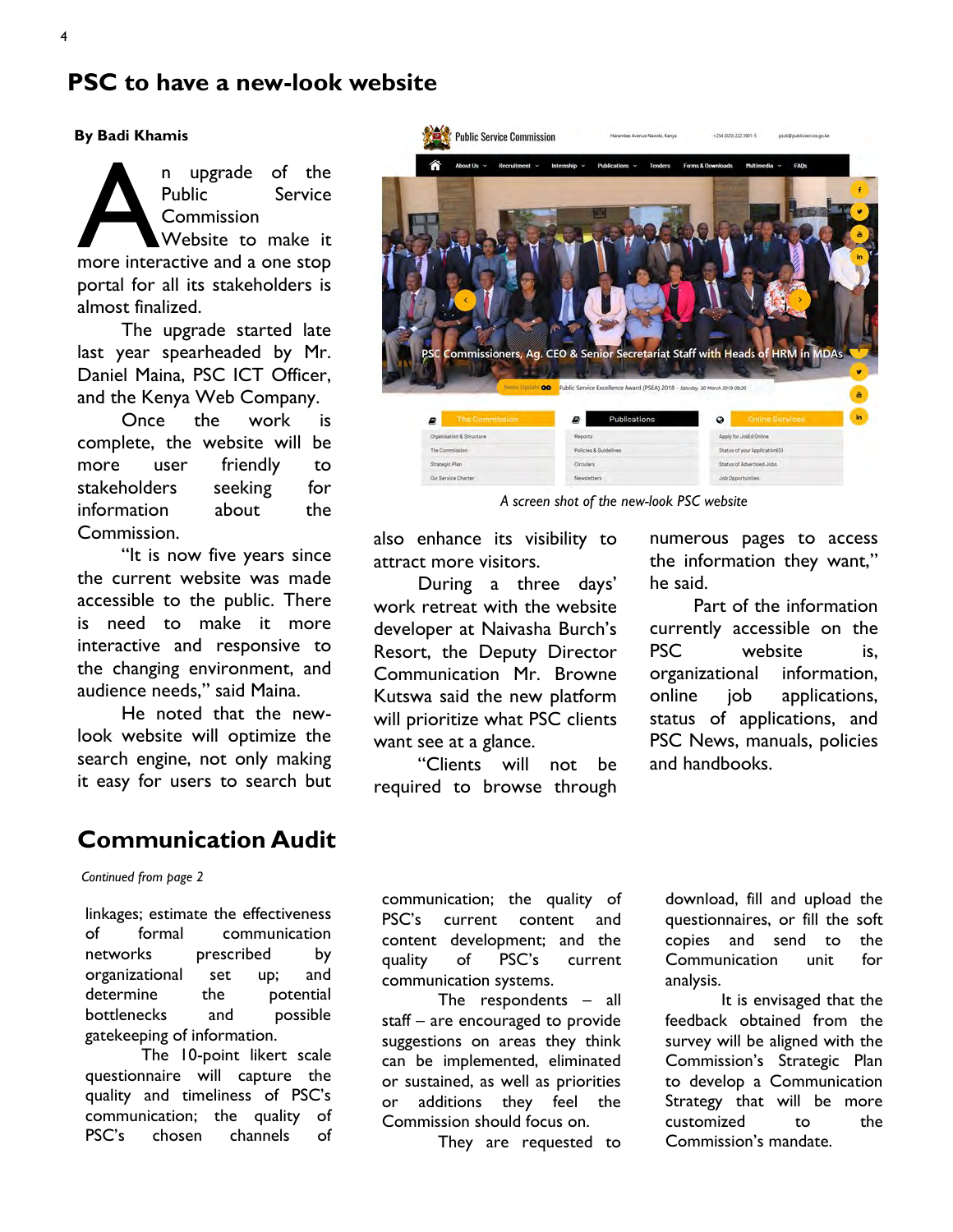### **PSC to have a new-look website**

#### **By Badi Khamis**

n upgrade of the<br>
Public Service<br>
Commission<br>
Website to make it<br>
more interactive and a one stop Public Service Commission Website to make it portal for all its stakeholders is almost finalized.

The upgrade started late last year spearheaded by Mr. Daniel Maina, PSC ICT Officer, and the Kenya Web Company.

Once the work is complete, the website will be more user friendly to stakeholders seeking for information about the Commission.

"It is now five years since the current website was made accessible to the public. There is need to make it more interactive and responsive to the changing environment, and audience needs," said Maina.

He noted that the newlook website will optimize the search engine, not only making it easy for users to search but

### **Communication Audit**

*Continued from page 2* 

linkages; estimate the effectiveness of formal communication networks prescribed by organizational set up; and determine the potential bottlenecks and possible gatekeeping of information.

The 10-point likert scale questionnaire will capture the quality and timeliness of PSC's communication; the quality of PSC's chosen channels of



*A screen shot of the new-look PSC website* 

also enhance its visibility to attract more visitors.

During a three days' work retreat with the website developer at Naivasha Burch's Resort, the Deputy Director Communication Mr. Browne Kutswa said the new platform will prioritize what PSC clients want see at a glance.

"Clients will not be required to browse through

numerous pages to access the information they want," he said.

Part of the information currently accessible on the PSC website is. organizational information, online job applications, status of applications, and PSC News, manuals, policies and handbooks.

communication; the quality of PSC's current content and content development; and the quality of PSC's current communication systems.

The respondents – all staff – are encouraged to provide suggestions on areas they think can be implemented, eliminated or sustained, as well as priorities or additions they feel the Commission should focus on.

They are requested to

download, fill and upload the questionnaires, or fill the soft copies and send to the Communication unit for analysis.

It is envisaged that the feedback obtained from the survey will be aligned with the Commission's Strategic Plan to develop a Communication Strategy that will be more customized to the Commission's mandate.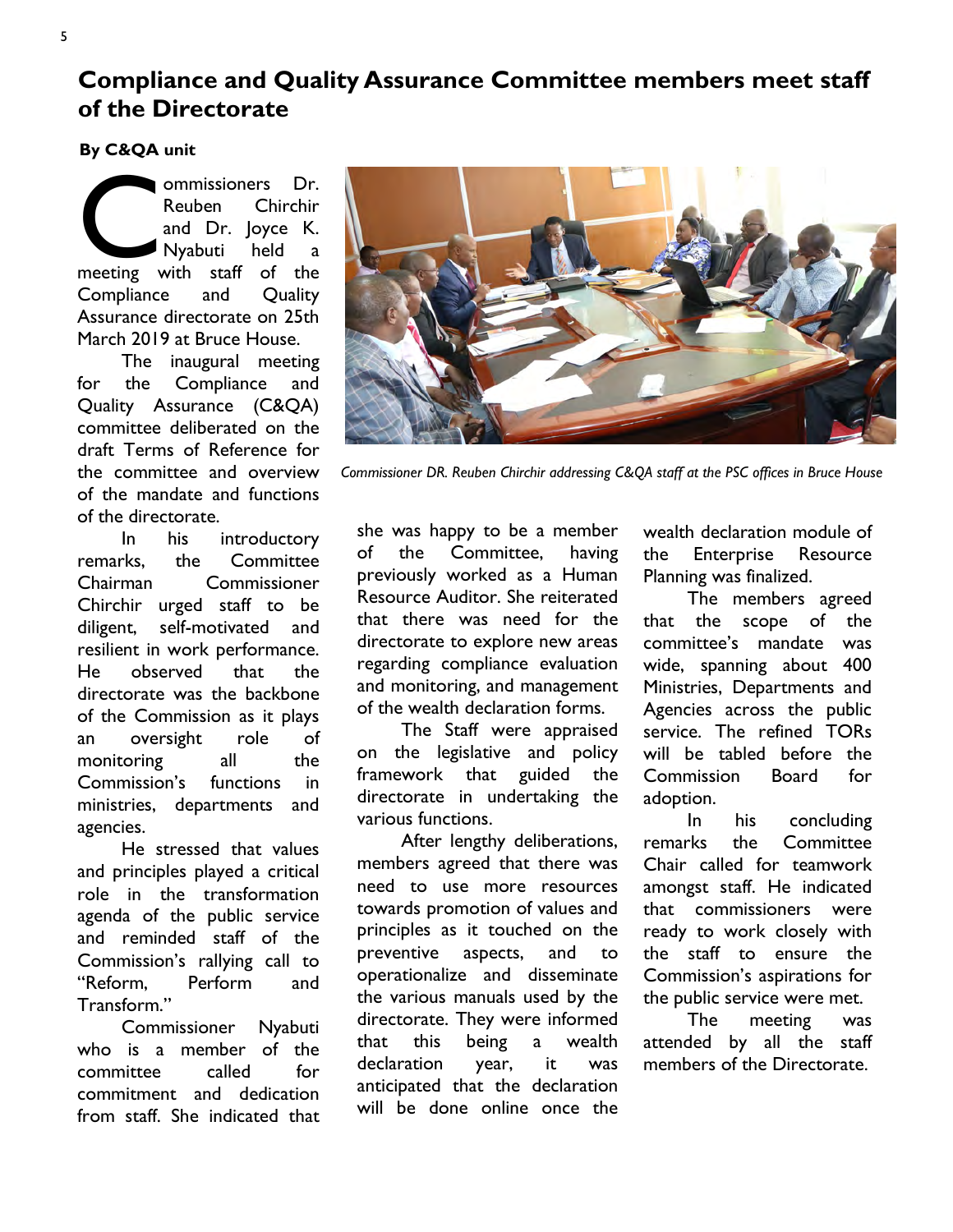**Compliance and Quality Assurance Committee members meet staff of the Directorate** 

**By C&QA unit** 

ommissioners Dr.<br>
Reuben Chirchir<br>
and Dr. Joyce K.<br>
Nyabuti held a<br>
meeting with staff of the Reuben Chirchir and Dr. Joyce K. Nyabuti held a Compliance and Quality Assurance directorate on 25th March 2019 at Bruce House.

The inaugural meeting for the Compliance and Quality Assurance (C&QA) committee deliberated on the draft Terms of Reference for the committee and overview of the mandate and functions of the directorate.

In his introductory remarks, the Committee Chairman Commissioner Chirchir urged staff to be diligent, self-motivated and resilient in work performance. He observed that the directorate was the backbone of the Commission as it plays an oversight role of monitoring all the Commission's functions in ministries, departments and agencies.

He stressed that values and principles played a critical role in the transformation agenda of the public service and reminded staff of the Commission's rallying call to "Reform, Perform and Transform."

Commissioner Nyabuti who is a member of the committee called for commitment and dedication from staff. She indicated that



*Commissioner DR. Reuben Chirchir addressing C&QA staff at the PSC offices in Bruce House* 

she was happy to be a member of the Committee, having previously worked as a Human Resource Auditor. She reiterated that there was need for the directorate to explore new areas regarding compliance evaluation and monitoring, and management of the wealth declaration forms.

The Staff were appraised on the legislative and policy framework that guided the directorate in undertaking the various functions.

After lengthy deliberations, members agreed that there was need to use more resources towards promotion of values and principles as it touched on the preventive aspects, and to operationalize and disseminate the various manuals used by the directorate. They were informed that this being a wealth declaration year, it was anticipated that the declaration will be done online once the wealth declaration module of the Enterprise Resource Planning was finalized.

The members agreed that the scope of the committee's mandate was wide, spanning about 400 Ministries, Departments and Agencies across the public service. The refined TORs will be tabled before the Commission Board for adoption.

In his concluding remarks the Committee Chair called for teamwork amongst staff. He indicated that commissioners were ready to work closely with the staff to ensure the Commission's aspirations for the public service were met.

The meeting was attended by all the staff members of the Directorate.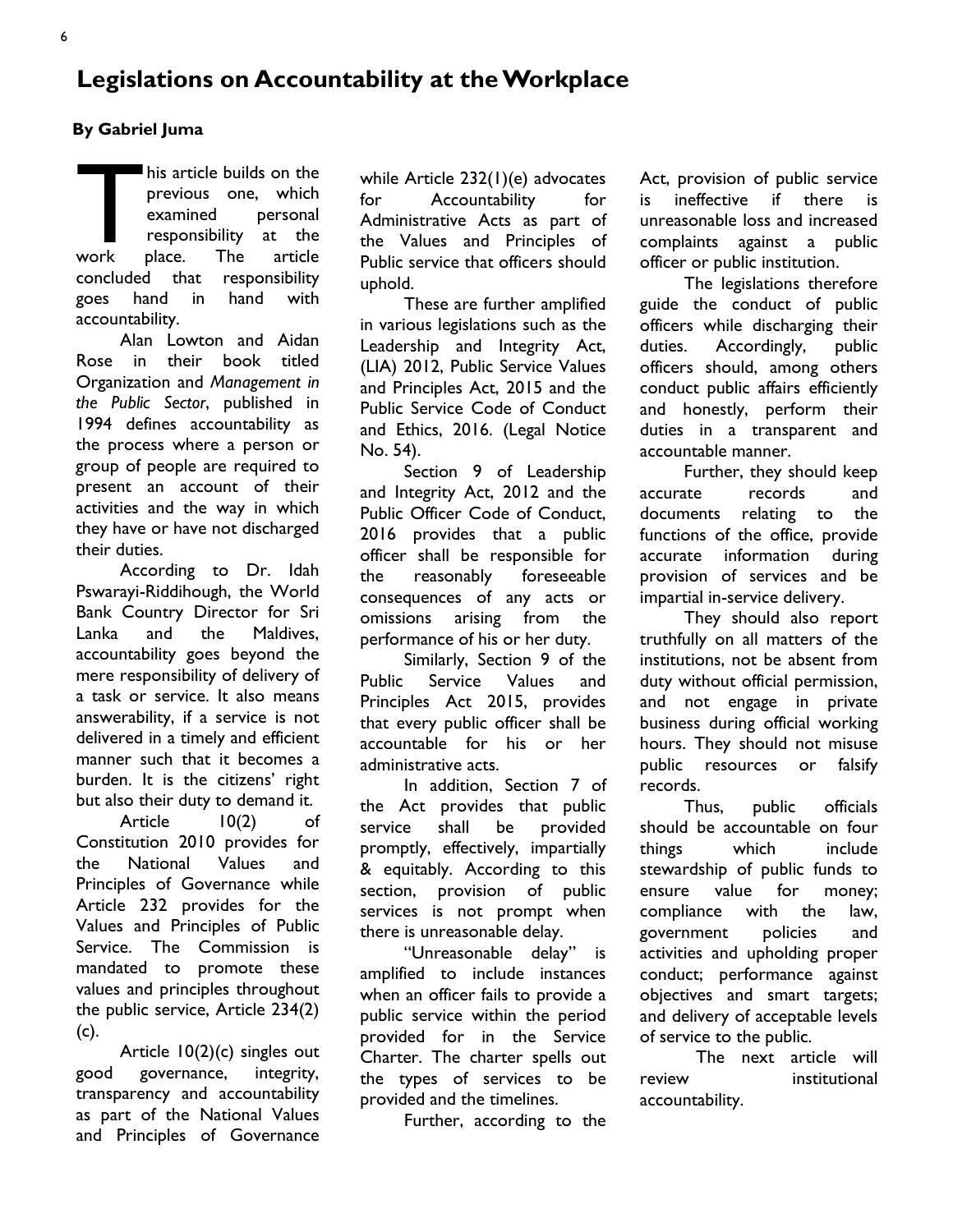6

### **Legislations on Accountability at the Workplace**

### **By Gabriel Juma**

This article builds on the<br>previous one, which<br>examined personal<br>responsibility at the<br>work place. The article previous one, which examined personal responsibility at the work place. The article concluded that responsibility goes hand in hand with accountability.

Alan Lowton and Aidan Rose in their book titled Organization and *Management in the Public Sector*, published in 1994 defines accountability as the process where a person or group of people are required to present an account of their activities and the way in which they have or have not discharged their duties.

According to Dr. Idah Pswarayi-Riddihough, the World Bank Country Director for Sri Lanka and the Maldives, accountability goes beyond the mere responsibility of delivery of a task or service. It also means answerability, if a service is not delivered in a timely and efficient manner such that it becomes a burden. It is the citizens' right but also their duty to demand it.

Article 10(2) of Constitution 2010 provides for the National Values and Principles of Governance while Article 232 provides for the Values and Principles of Public Service. The Commission is mandated to promote these values and principles throughout the public service, Article 234(2) (c).

Article 10(2)(c) singles out good governance, integrity, transparency and accountability as part of the National Values and Principles of Governance while Article 232(1)(e) advocates for Accountability for Administrative Acts as part of the Values and Principles of Public service that officers should uphold.

These are further amplified in various legislations such as the Leadership and Integrity Act, (LIA) 2012, Public Service Values and Principles Act, 2015 and the Public Service Code of Conduct and Ethics, 2016. (Legal Notice No. 54).

Section 9 of Leadership and Integrity Act, 2012 and the Public Officer Code of Conduct, 2016 provides that a public officer shall be responsible for the reasonably foreseeable consequences of any acts or omissions arising from the performance of his or her duty.

Similarly, Section 9 of the Public Service Values and Principles Act 2015, provides that every public officer shall be accountable for his or her administrative acts.

In addition, Section 7 of the Act provides that public service shall be provided promptly, effectively, impartially & equitably. According to this section, provision of public services is not prompt when there is unreasonable delay.

"Unreasonable delay" is amplified to include instances when an officer fails to provide a public service within the period provided for in the Service Charter. The charter spells out the types of services to be provided and the timelines.

Further, according to the

Act, provision of public service is ineffective if there is unreasonable loss and increased complaints against a public officer or public institution.

The legislations therefore guide the conduct of public officers while discharging their duties. Accordingly, public officers should, among others conduct public affairs efficiently and honestly, perform their duties in a transparent and accountable manner.

Further, they should keep accurate records and documents relating to the functions of the office, provide accurate information during provision of services and be impartial in-service delivery.

They should also report truthfully on all matters of the institutions, not be absent from duty without official permission, and not engage in private business during official working hours. They should not misuse public resources or falsify records.

Thus, public officials should be accountable on four things which include stewardship of public funds to ensure value for money; compliance with the law, government policies and activities and upholding proper conduct; performance against objectives and smart targets; and delivery of acceptable levels of service to the public.

The next article will review institutional accountability.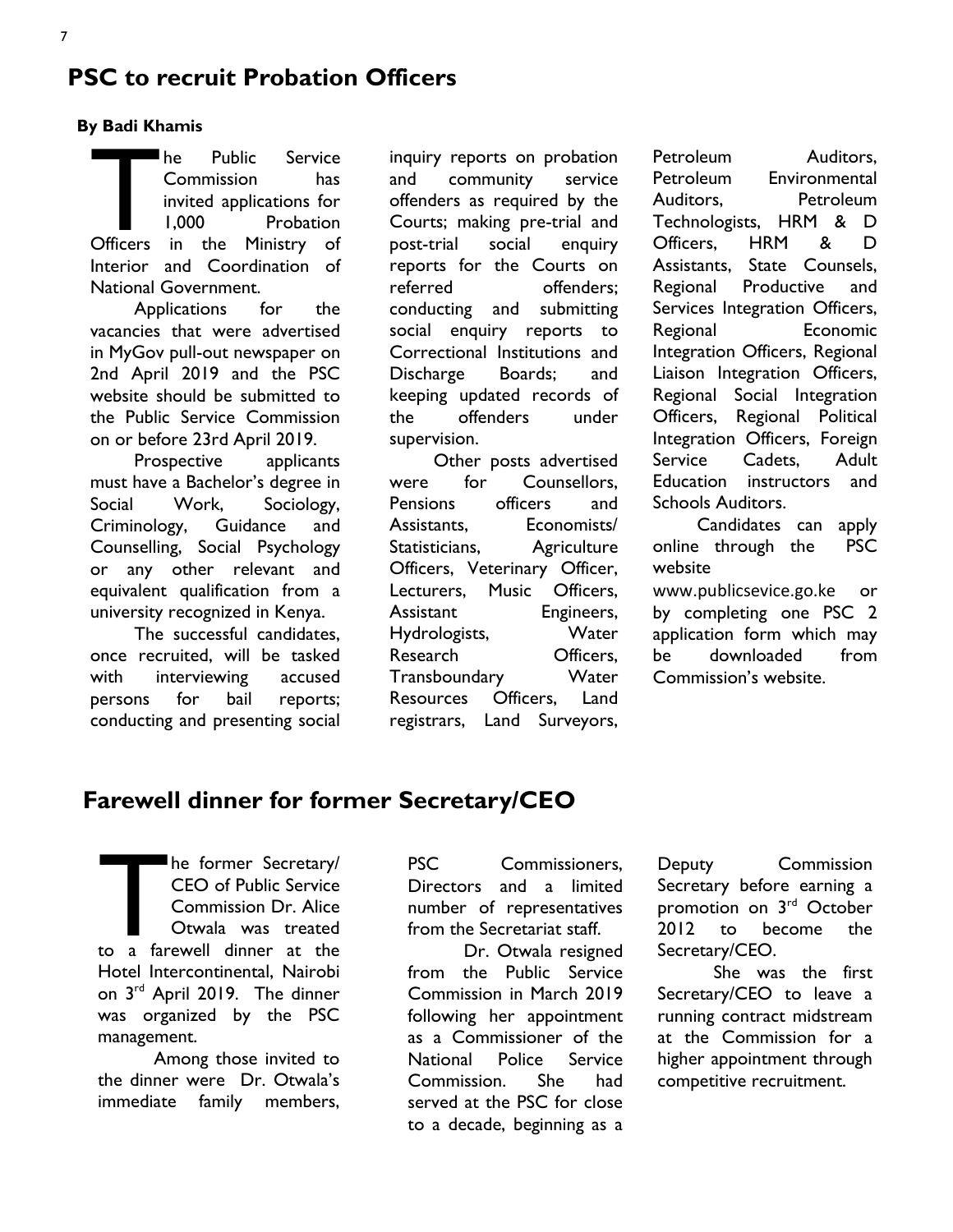### **PSC to recruit Probation Officers**

#### **By Badi Khamis**

The Public Service<br>
Commission has<br>
invited applications for<br>
1,000 Probation<br>
Officers in the Ministry of Commission has invited applications for 1,000 Probation Interior and Coordination of National Government.

Applications for the vacancies that were advertised in MyGov pull-out newspaper on 2nd April 2019 and the PSC website should be submitted to the Public Service Commission on or before 23rd April 2019.

Prospective applicants must have a Bachelor's degree in Social Work, Sociology, Criminology, Guidance and Counselling, Social Psychology or any other relevant and equivalent qualification from a university recognized in Kenya.

The successful candidates, once recruited, will be tasked with interviewing accused persons for bail reports; conducting and presenting social

inquiry reports on probation and community service offenders as required by the Courts; making pre-trial and post-trial social enquiry reports for the Courts on referred offenders; conducting and submitting social enquiry reports to Correctional Institutions and Discharge Boards; and keeping updated records of the offenders under supervision.

Other posts advertised were for Counsellors, Pensions officers and Assistants, Economists/ Statisticians, Agriculture Officers, Veterinary Officer, Lecturers, Music Officers, Assistant Engineers, Hydrologists, Water Research **Officers**. Transboundary Water Resources Officers, Land registrars, Land Surveyors, Petroleum Auditors. Petroleum Environmental Auditors, Petroleum Technologists, HRM & D Officers, HRM & D Assistants, State Counsels, Regional Productive and Services Integration Officers, Regional Economic Integration Officers, Regional Liaison Integration Officers, Regional Social Integration Officers, Regional Political Integration Officers, Foreign Service Cadets, Adult Education instructors and Schools Auditors.

Candidates can apply online through the PSC website

[www.publicsevice.go.ke](http://www.publicsevice.go.ke) or by completing one PSC 2 application form which may be downloaded from Commission's website.

### **Farewell dinner for former Secretary/CEO**

The former Secretary/<br>
CEO of Public Service<br>
Commission Dr. Alice<br>
Otwala was treated<br>
to a farewell dinner at the CEO of Public Service Commission Dr. Alice Otwala was treated Hotel Intercontinental, Nairobi on 3rd April 2019. The dinner was organized by the PSC management.

Among those invited to the dinner were Dr. Otwala's immediate family members, PSC Commissioners. Directors and a limited number of representatives from the Secretariat staff.

Dr. Otwala resigned from the Public Service Commission in March 2019 following her appointment as a Commissioner of the National Police Service Commission. She had served at the PSC for close to a decade, beginning as a

Deputy Commission Secretary before earning a promotion on 3rd October 2012 to become the Secretary/CEO.

She was the first Secretary/CEO to leave a running contract midstream at the Commission for a higher appointment through competitive recruitment.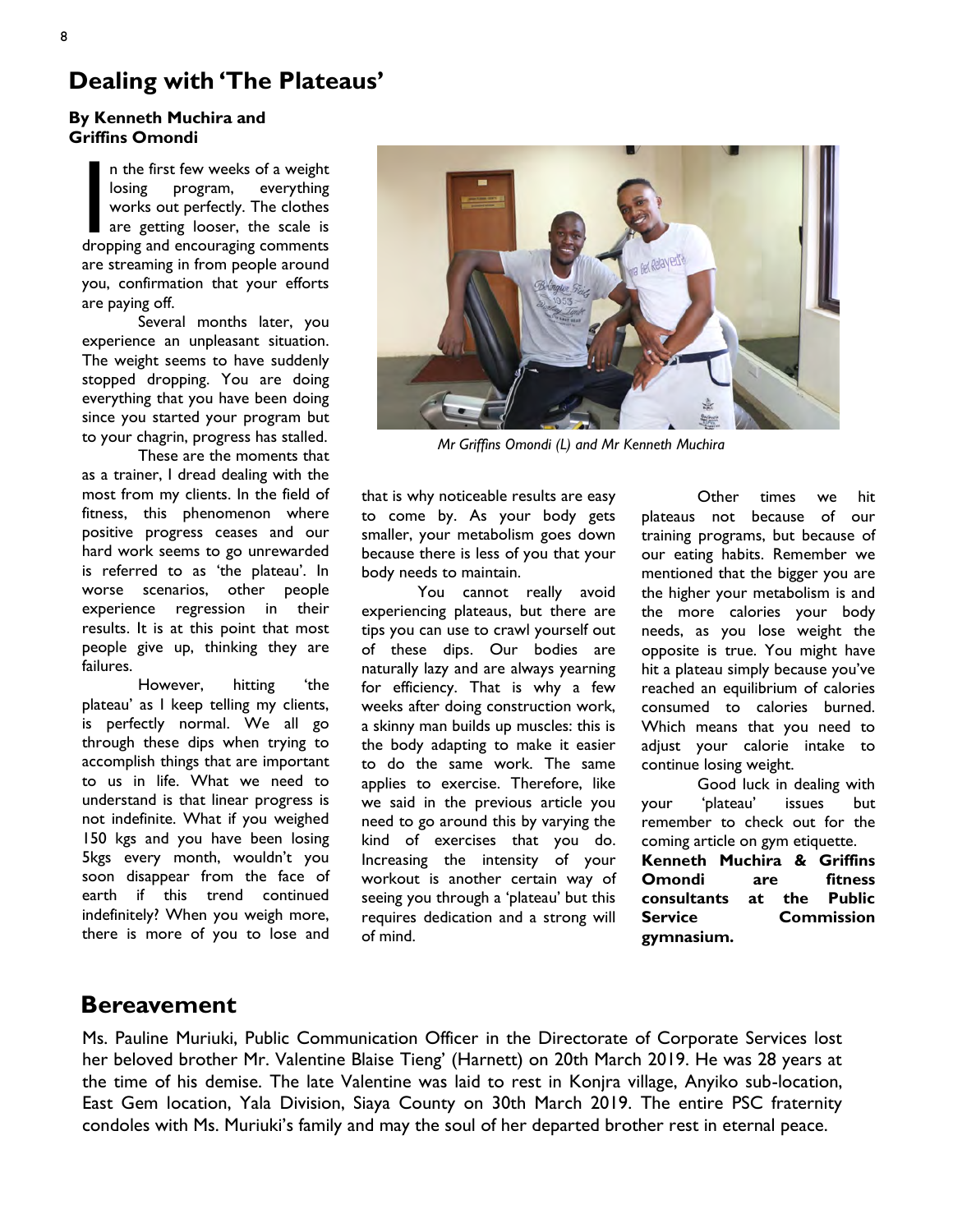### **Dealing with 'The Plateaus'**

#### **By Kenneth Muchira and Griffins Omondi**

In the first few weeks of a weight<br>
losing program, everything<br>
works out perfectly. The clothes<br>
are getting looser, the scale is<br>
dropping and encouraging comments losing program, everything works out perfectly. The clothes are getting looser, the scale is dropping and encouraging comments are streaming in from people around you, confirmation that your efforts are paying off.

Several months later, you experience an unpleasant situation. The weight seems to have suddenly stopped dropping. You are doing everything that you have been doing since you started your program but to your chagrin, progress has stalled.

These are the moments that as a trainer, I dread dealing with the most from my clients. In the field of fitness, this phenomenon where positive progress ceases and our hard work seems to go unrewarded is referred to as 'the plateau'. In worse scenarios, other people experience regression in their results. It is at this point that most people give up, thinking they are failures.

However, hitting 'the plateau' as I keep telling my clients, is perfectly normal. We all go through these dips when trying to accomplish things that are important to us in life. What we need to understand is that linear progress is not indefinite. What if you weighed 150 kgs and you have been losing 5kgs every month, wouldn't you soon disappear from the face of earth if this trend continued indefinitely? When you weigh more, there is more of you to lose and



*Mr Griffins Omondi (L) and Mr Kenneth Muchira* 

that is why noticeable results are easy to come by. As your body gets smaller, your metabolism goes down because there is less of you that your body needs to maintain.

You cannot really avoid experiencing plateaus, but there are tips you can use to crawl yourself out of these dips. Our bodies are naturally lazy and are always yearning for efficiency. That is why a few weeks after doing construction work, a skinny man builds up muscles: this is the body adapting to make it easier to do the same work. The same applies to exercise. Therefore, like we said in the previous article you need to go around this by varying the kind of exercises that you do. Increasing the intensity of your workout is another certain way of seeing you through a 'plateau' but this requires dedication and a strong will of mind.

Other times we hit plateaus not because of our training programs, but because of our eating habits. Remember we mentioned that the bigger you are the higher your metabolism is and the more calories your body needs, as you lose weight the opposite is true. You might have hit a plateau simply because you've reached an equilibrium of calories consumed to calories burned. Which means that you need to adjust your calorie intake to continue losing weight.

Good luck in dealing with your 'plateau' issues but remember to check out for the coming article on gym etiquette.

**Kenneth Muchira & Griffins Omondi are fitness consultants at the Public Service Commission gymnasium.** 

### **Bereavement**

Ms. Pauline Muriuki, Public Communication Officer in the Directorate of Corporate Services lost her beloved brother Mr. Valentine Blaise Tieng' (Harnett) on 20th March 2019. He was 28 years at the time of his demise. The late Valentine was laid to rest in Konjra village, Anyiko sub-location, East Gem location, Yala Division, Siaya County on 30th March 2019. The entire PSC fraternity condoles with Ms. Muriuki's family and may the soul of her departed brother rest in eternal peace.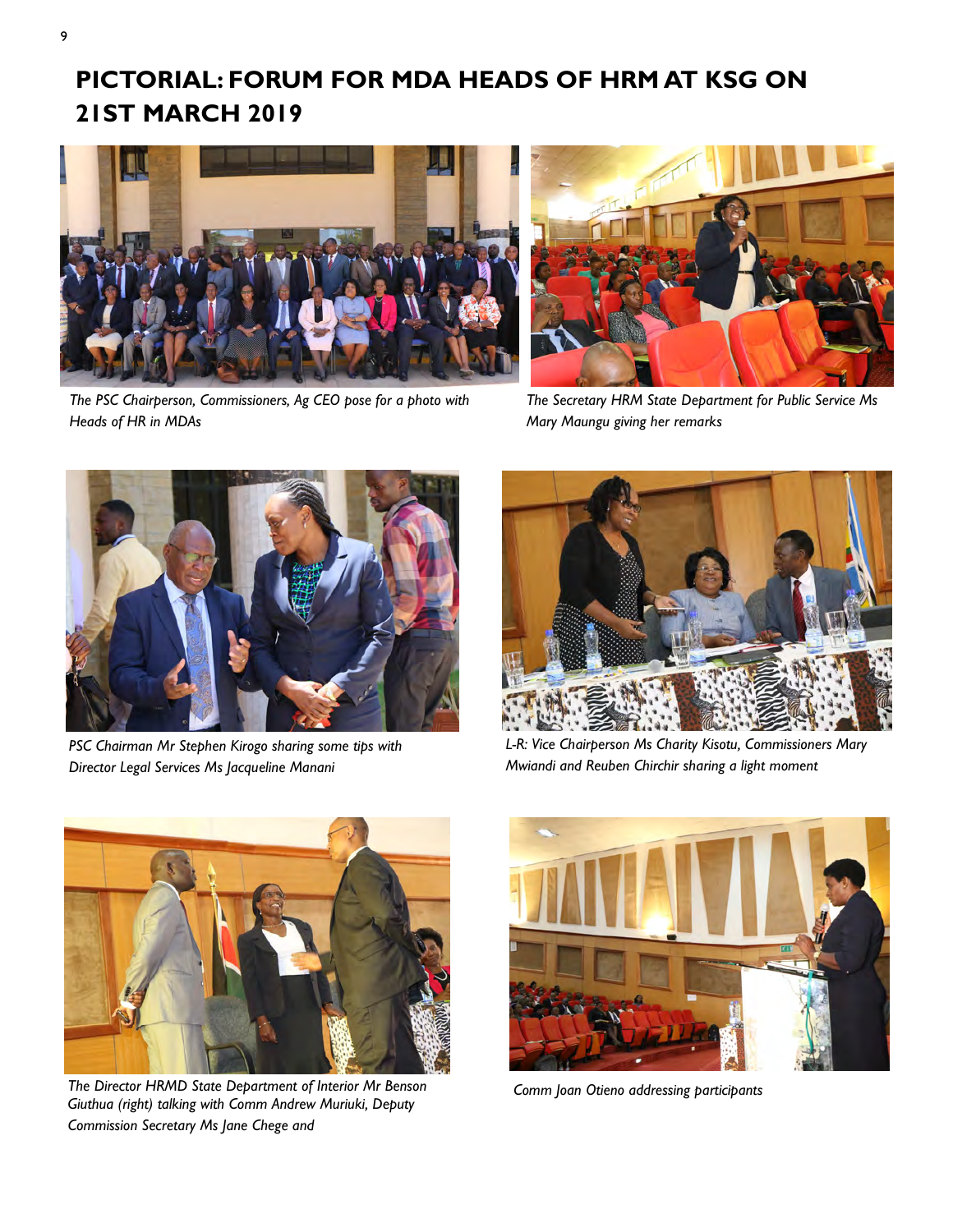## **PICTORIAL: FORUM FOR MDA HEADS OF HRM AT KSG ON 21ST MARCH 2019**



*The PSC Chairperson, Commissioners, Ag CEO pose for a photo with Heads of HR in MDAs* 



*The Secretary HRM State Department for Public Service Ms Mary Maungu giving her remarks* 



*PSC Chairman Mr Stephen Kirogo sharing some tips with Director Legal Services Ms Jacqueline Manani* 



*L-R: Vice Chairperson Ms Charity Kisotu, Commissioners Mary Mwiandi and Reuben Chirchir sharing a light moment* 



*The Director HRMD State Department of Interior Mr Benson Comm Joan Otieno addressing participants Giuthua (right) talking with Comm Andrew Muriuki, Deputy Commission Secretary Ms Jane Chege and* 

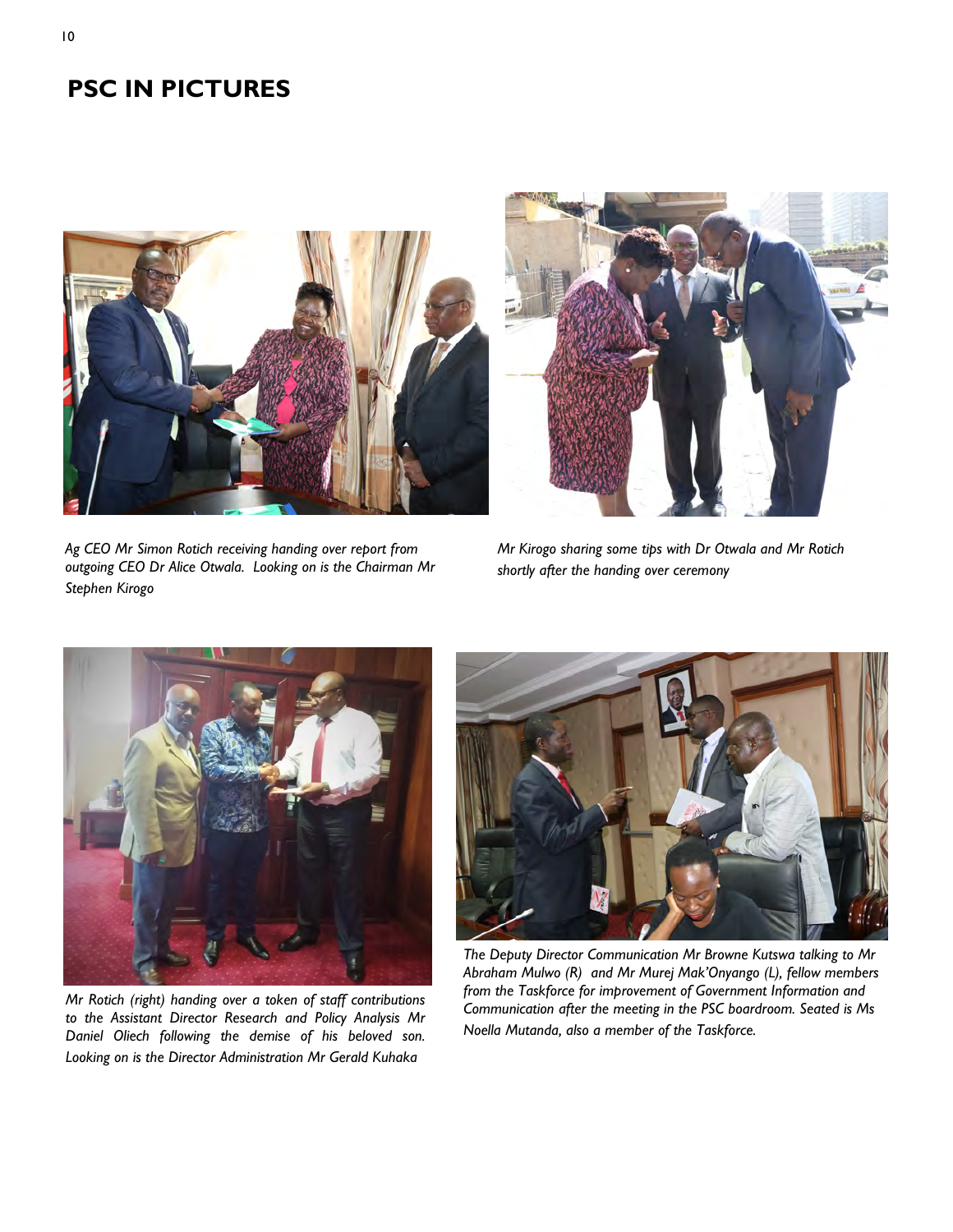### **PSC IN PICTURES**





*Ag CEO Mr Simon Rotich receiving handing over report from outgoing CEO Dr Alice Otwala. Looking on is the Chairman Mr Stephen Kirogo* 

*Mr Kirogo sharing some tips with Dr Otwala and Mr Rotich shortly after the handing over ceremony* 



*Mr Rotich (right) handing over a token of staff contributions to the Assistant Director Research and Policy Analysis Mr Daniel Oliech following the demise of his beloved son. Looking on is the Director Administration Mr Gerald Kuhaka* 



*The Deputy Director Communication Mr Browne Kutswa talking to Mr Abraham Mulwo (R) and Mr Murej Mak'Onyango (L), fellow members from the Taskforce for improvement of Government Information and Communication after the meeting in the PSC boardroom. Seated is Ms Noella Mutanda, also a member of the Taskforce.*